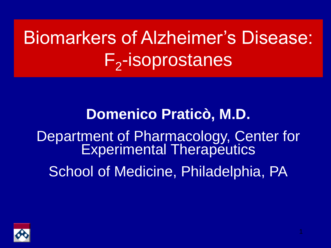# Biomarkers of Alzheimer's Disease: F<sub>2</sub>-isoprostanes

### **Domenico Praticò, M.D.** Department of Pharmacology, Center for Experimental Therapeutics School of Medicine, Philadelphia, PA

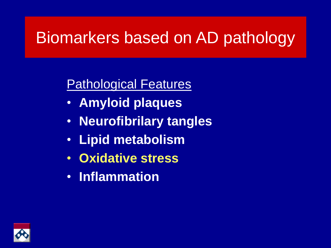#### Biomarkers based on AD pathology

#### Pathological Features

- **Amyloid plaques**
- **Neurofibrilary tangles**
- **Lipid metabolism**
- **Oxidative stress**
- **Inflammation**

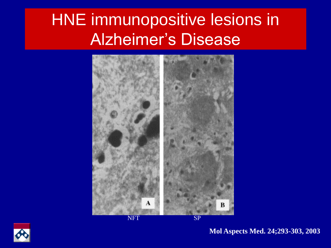### HNE immunopositive lesions in Alzheimer's Disease





**Mol Aspects Med. 24;293-303, 2003**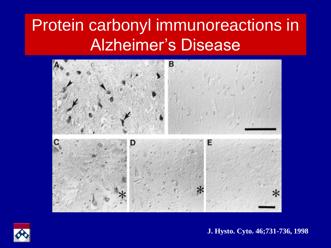### Protein carbonyl immunoreactions in Alzheimer's Disease





**J. Hysto. Cyto. 46;731-736, 1998**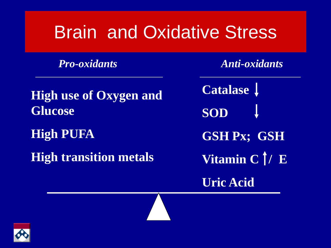## Brain and Oxidative Stress

*Pro-oxidants Anti-oxidants*

**High use of Oxygen and Glucose**

**High PUFA**

**High transition metals** 

**Catalase SOD GSH Px; GSH Vitamin C | / E Uric Acid**

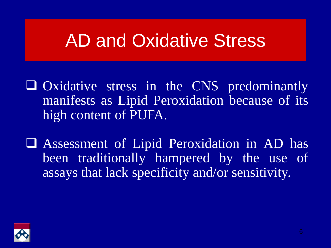## AD and Oxidative Stress

 Oxidative stress in the CNS predominantly manifests as Lipid Peroxidation because of its high content of PUFA.

 Assessment of Lipid Peroxidation in AD has been traditionally hampered by the use of assays that lack specificity and/or sensitivity.

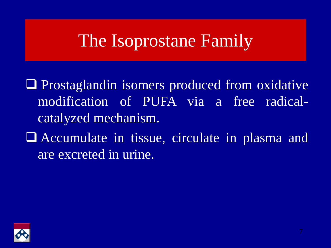### The Isoprostane Family

**Q** Prostaglandin isomers produced from oxidative modification of PUFA via a free radicalcatalyzed mechanism.

 Accumulate in tissue, circulate in plasma and are excreted in urine.

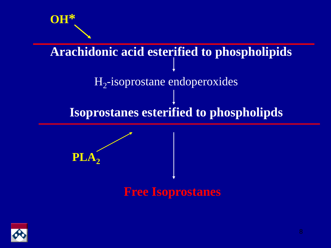

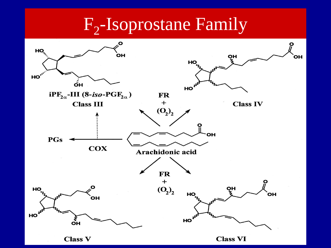## F<sub>2</sub>-Isoprostane Family

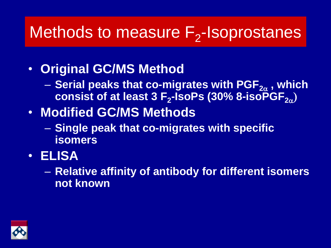## Methods to measure  $F_2$ -Isoprostanes

- **Original GC/MS Method**
	- Serial peaks that co-migrates with PGF<sub>2α</sub>, which **consist of at least 3 F<sup>2</sup> -IsoPs (30% 8-isoPGF2**<sup>a</sup> )
- **Modified GC/MS Methods**
	- **Single peak that co-migrates with specific isomers**
- **ELISA**
	- **Relative affinity of antibody for different isomers not known**

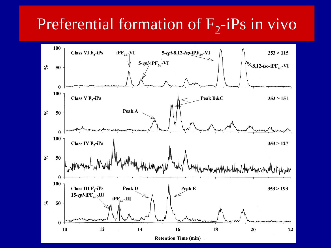## Preferential formation of  $F_2$ -iPs in vivo

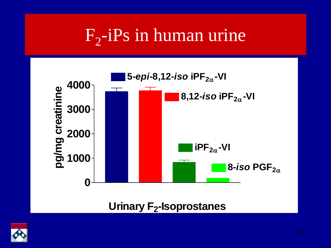## $F_2$ -i $Ps$  in human urine



**Urinary F<sup>2</sup> -Isoprostanes**

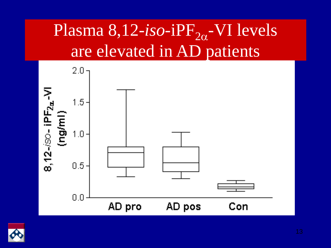## Plasma 8,12-*iso*-iPF<sub>2a</sub>-VI levels are elevated in AD patients



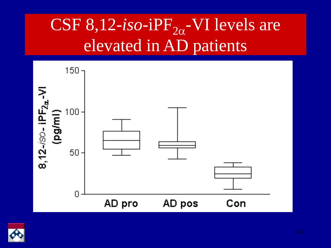## CSF  $8,12$ -*iso*-iPF<sub>2 $\alpha$ </sub>-VI levels are elevated in AD patients



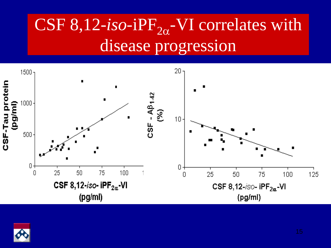## CSF  $8,12$ -*iso*-iPF<sub>2 $\alpha$ </sub>-VI correlates with disease progression



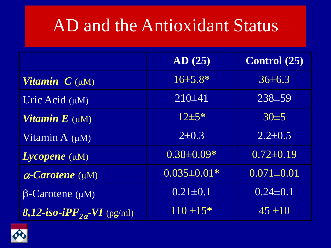### AD and the Antioxidant Status

|                                               | AD(25)            | <b>Control</b> (25) |
|-----------------------------------------------|-------------------|---------------------|
| <b>Vitamin</b> $C(\mu M)$                     | $16\pm5.8*$       | $36\pm 6.3$         |
| Uric Acid $(\mu M)$                           | $210\pm 41$       | $238 + 59$          |
| <b>Vitamin E</b> $(\mu M)$                    | $12\pm5*$         | 30±5                |
| Vitamin A $(\mu M)$                           | $2\pm 0.3$        | $2.2 \pm 0.5$       |
| $Lycopene$ ( $\mu$ M)                         | $0.38 \pm 0.09*$  | $0.72 \pm 0.19$     |
| $\alpha$ -Carotene ( $\mu$ M)                 | $0.035 \pm 0.01*$ | $0.071 \pm 0.01$    |
| $\beta$ -Carotene ( $\mu$ M)                  | $0.21 \pm 0.1$    | $0.24 \pm 0.1$      |
| <b>8,12-iso-iPF</b> <sub>20</sub> -VI (pg/ml) | $110 \pm 15*$     | $45 \pm 10$         |

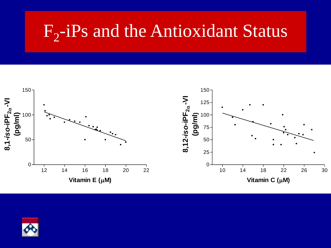## $F_2$ -iPs and the Antioxidant Status



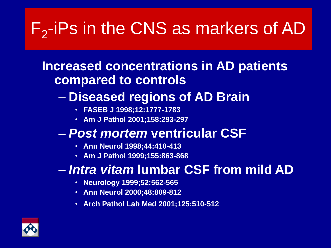## $F_2$ -iPs in the CNS as markers of AD

#### **Increased concentrations in AD patients compared to controls**

#### – **Diseased regions of AD Brain**

- **FASEB J 1998;12:1777-1783**
- **Am J Pathol 2001;158:293-297**

#### – *Post mortem* **ventricular CSF**

- **Ann Neurol 1998;44:410-413**
- **Am J Pathol 1999;155:863-868**

#### – *Intra vitam* **lumbar CSF from mild AD**

- **Neurology 1999;52:562-565**
- **Ann Neurol 2000;48:809-812**
- **Arch Pathol Lab Med 2001;125:510-512**

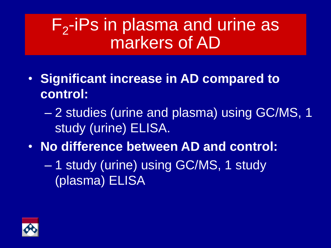### $F_2$ -iPs in plasma and urine as markers of AD

- **Significant increase in AD compared to control:**
	- 2 studies (urine and plasma) using GC/MS, 1 study (urine) ELISA.
- **No difference between AD and control:**
	- 1 study (urine) using GC/MS, 1 study (plasma) ELISA

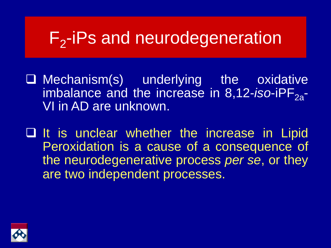## F<sub>2</sub>-iPs and neurodegeneration

- $\Box$  Mechanism(s) underlying the oxidative imbalance and the increase in 8,12-*iso*-iPF<sub>2a</sub>-VI in AD are unknown.
- $\Box$  It is unclear whether the increase in Lipid Peroxidation is a cause of a consequence of the neurodegenerative process *per se*, or they are two independent processes.

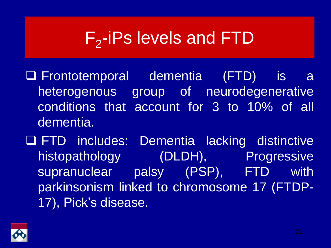## $F_2$ -iPs levels and FTD

- Frontotemporal dementia (FTD) is a heterogenous group of neurodegenerative conditions that account for 3 to 10% of all dementia.
- FTD includes: Dementia lacking distinctive histopathology (DLDH), Progressive supranuclear palsy (PSP), FTD with parkinsonism linked to chromosome 17 (FTDP-17), Pick's disease.

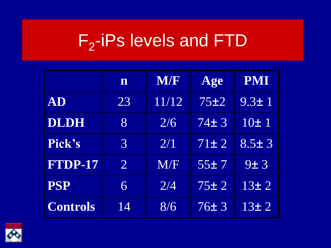## F<sub>2</sub>-iPs levels and FTD

|                 | n              | <b>M/F</b> | Age       | <b>PMI</b>  |
|-----------------|----------------|------------|-----------|-------------|
| AD              | 23             | 11/12      | 75±2      | $9.3 \pm 1$ |
| DLDH            | $\overline{8}$ | 2/6        | 74±3      | 10±1        |
| Pick's          | 3              | 2/1        | $71\pm 2$ | $8.5 + 3$   |
| FTDP-17         | $\overline{2}$ | M/F        | 55±7      | 9±3         |
| <b>PSP</b>      | 6              | 2/4        | 75±2      | 13±2        |
| <b>Controls</b> | 14             | 8/6        | 76±3      | 13±2        |

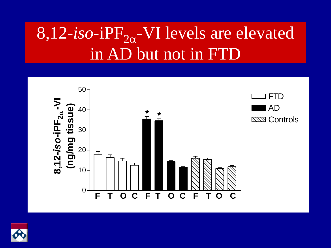## 8,12-*iso*-iPF<sub>2a</sub>-VI levels are elevated in AD but not in FTD



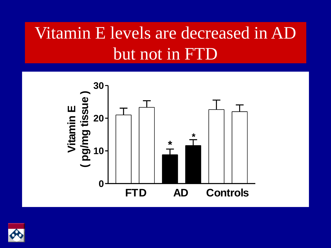## Vitamin E levels are decreased in AD but not in FTD



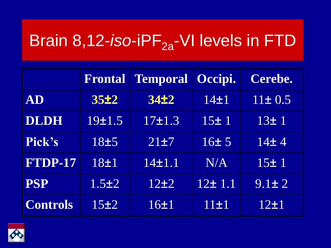## Brain 8,12-*iso*-iPF<sub>2a</sub>-VI levels in FTD

|                 | <b>Frontal</b>   | <b>Temporal Occipi.</b> |          | Cerebe.      |
|-----------------|------------------|-------------------------|----------|--------------|
| AD              | 35±2             | 34 <sub>12</sub>        | $14\pm1$ | $11 \pm 0.5$ |
| <b>DLDH</b>     | 19±1.5           | $17\pm1.3$              | 15±1     | 13±1         |
| Pick's          | 18 <sup>±5</sup> | 21±7                    | 16±5     | 14±4         |
| FTDP-17         | 18±1             | $14 + 1.1$              | N/A      | 15±1         |
| <b>PSP</b>      | $1.5\pm2$        | 12±2                    | 12±1.1   | $9.1 \pm 2$  |
| <b>Controls</b> | 15±2             | 16±1                    | 11±1     | $12\pm1$     |

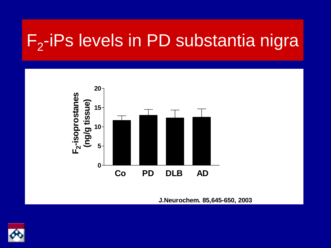## $F_2$ -iPs levels in PD substantia nigra



**J.Neurochem. 85,645-650, 2003**

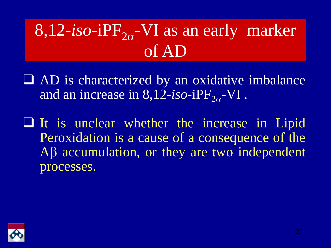## $8,12$ -*iso*-iPF<sub>2 $\alpha$ </sub>-VI as an early marker of AD

- AD is characterized by an oxidative imbalance and an increase in  $8,12$ -*iso*-iPF<sub>2 $\alpha$ </sub>-VI.
- $\Box$  It is unclear whether the increase in Lipid Peroxidation is a cause of a consequence of the  $AB$  accumulation, or they are two independent processes.

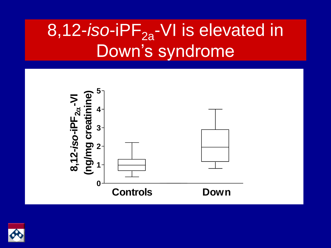## 8,12-*iso*-iPF<sub>2a</sub>-VI is elevated in Down's syndrome



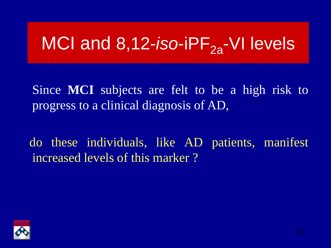## MCI and 8,12-*iso*-iPF<sub>2a</sub>-VI levels

Since **MCI** subjects are felt to be a high risk to progress to a clinical diagnosis of AD,

do these individuals, like AD patients, manifest increased levels of this marker ?

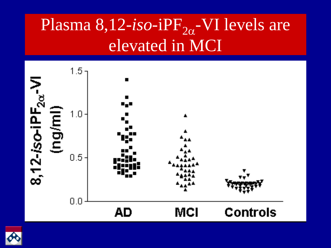## Plasma 8,12-*iso*-iPF<sub>2a</sub>-VI levels are elevated in MCI



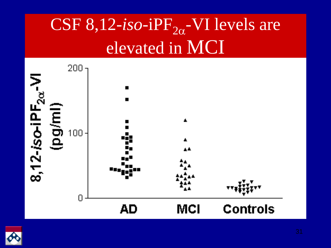## CSF 8,12- $iso$ -iPF<sub>2 $\alpha$ </sub>-VI levels are elevated in MCI



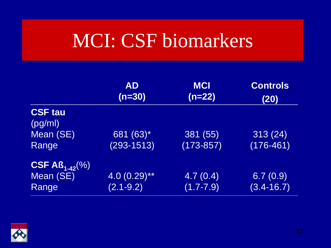## MCI: CSF biomarkers

|                                                 | <b>AD</b><br>$(n=30)$           | <b>MCI</b><br>$(n=22)$                    | <b>Controls</b><br>(20)    |
|-------------------------------------------------|---------------------------------|-------------------------------------------|----------------------------|
| <b>CSF tau</b><br>(pg/ml)<br>Mean (SE)<br>Range | 681 $(63)^*$<br>$(293 - 1513)$  | 381 (55)<br>$(173 - 857)$                 | 313(24)<br>$(176 - 461)$   |
| $CSF AB_{1-42}(\%)$<br>Mean (SE)<br>Range       | $4.0(0.29)$ **<br>$(2.1 - 9.2)$ | $\overline{4.7}$ $(0.4)$<br>$(1.7 - 7.9)$ | 6.7(0.9)<br>$(3.4 - 16.7)$ |

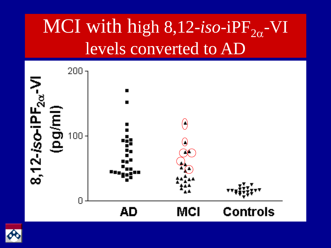## MCI with high 8,12-*iso*-iPF<sub>2a</sub>-VI levels converted to AD



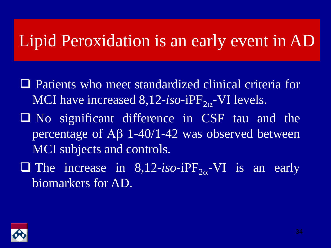#### Lipid Peroxidation is an early event in AD

- Patients who meet standardized clinical criteria for MCI have increased  $8,12$ -*iso*-i $PF_{2\alpha}$ -VI levels.
- No significant difference in CSF tau and the percentage of  $\overline{AB}$  1-40/1-42 was observed between MCI subjects and controls.
- The increase in  $8,12$ -iso-iPF<sub>2 $\alpha$ </sub>-VI is an early biomarkers for AD.

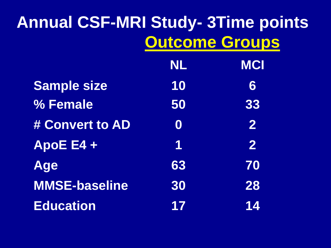## **Annual CSF-MRI Study- 3Time points Outcome Groups**

|                      | <b>NL</b>        | <b>MCI</b>     |
|----------------------|------------------|----------------|
| <b>Sample size</b>   | 10               | 6              |
| % Female             | 50               | 33             |
| # Convert to AD      | $\boldsymbol{0}$ | $\overline{2}$ |
| ApoE E4 +            | 1                | $\overline{2}$ |
| <b>Age</b>           | 63               | 70             |
| <b>MMSE-baseline</b> | 30               | 28             |
| <b>Education</b>     | 17               | 14             |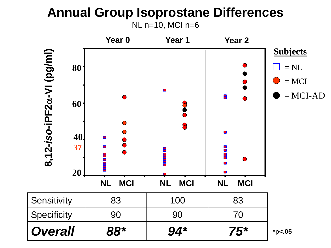#### **Annual Group Isoprostane Differences** NL n=10, MCI n=6

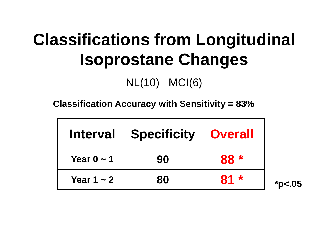## **Classifications from Longitudinal Isoprostane Changes**

#### NL(10) MCI(6)

**Classification Accuracy with Sensitivity = 83%**

| <b>Interval</b> | Specificity | <b>Overall</b> |
|-----------------|-------------|----------------|
| Year $0 \sim 1$ | 90          | $88*$          |
| Year 1 $\sim$ 2 | 80          | $81 *$         |

**\*p<.05**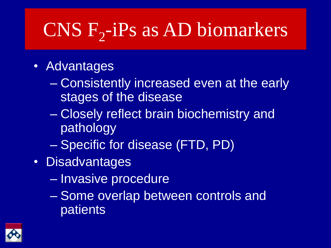# $CNS$   $F_2$ -iPs as AD biomarkers

- Advantages
	- Consistently increased even at the early stages of the disease
	- Closely reflect brain biochemistry and pathology
	- Specific for disease (FTD, PD)
- Disadvantages
	- Invasive procedure
	- Some overlap between controls and patients

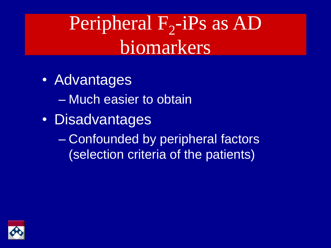## Peripheral  $F_2$ -iPs as AD biomarkers

- Advantages
	- Much easier to obtain
- Disadvantages
	- Confounded by peripheral factors (selection criteria of the patients)

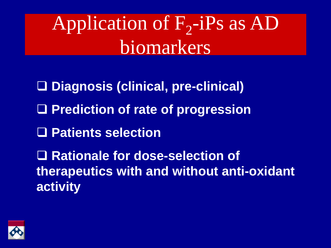Application of  $F_2$ -iPs as AD biomarkers

- **Diagnosis (clinical, pre-clinical)**
- **Prediction of rate of progression**
- **Patients selection**

**Rationale for dose-selection of therapeutics with and without anti-oxidant activity**